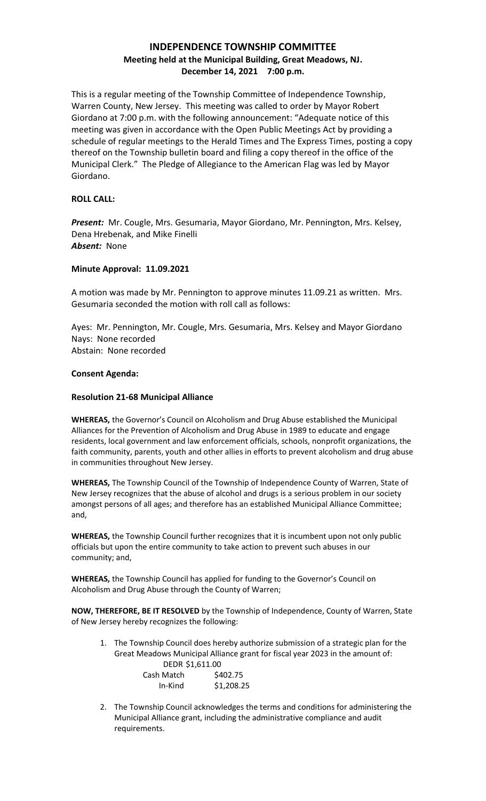# **INDEPENDENCE TOWNSHIP COMMITTEE Meeting held at the Municipal Building, Great Meadows, NJ. December 14, 2021 7:00 p.m.**

This is a regular meeting of the Township Committee of Independence Township, Warren County, New Jersey. This meeting was called to order by Mayor Robert Giordano at 7:00 p.m. with the following announcement: "Adequate notice of this meeting was given in accordance with the Open Public Meetings Act by providing a schedule of regular meetings to the Herald Times and The Express Times, posting a copy thereof on the Township bulletin board and filing a copy thereof in the office of the Municipal Clerk." The Pledge of Allegiance to the American Flag was led by Mayor Giordano.

## **ROLL CALL:**

*Present:* Mr. Cougle, Mrs. Gesumaria, Mayor Giordano, Mr. Pennington, Mrs. Kelsey, Dena Hrebenak, and Mike Finelli *Absent:* None

## **Minute Approval: 11.09.2021**

A motion was made by Mr. Pennington to approve minutes 11.09.21 as written. Mrs. Gesumaria seconded the motion with roll call as follows:

Ayes: Mr. Pennington, Mr. Cougle, Mrs. Gesumaria, Mrs. Kelsey and Mayor Giordano Nays: None recorded Abstain: None recorded

## **Consent Agenda:**

## **Resolution 21-68 Municipal Alliance**

**WHEREAS,** the Governor's Council on Alcoholism and Drug Abuse established the Municipal Alliances for the Prevention of Alcoholism and Drug Abuse in 1989 to educate and engage residents, local government and law enforcement officials, schools, nonprofit organizations, the faith community, parents, youth and other allies in efforts to prevent alcoholism and drug abuse in communities throughout New Jersey.

**WHEREAS,** The Township Council of the Township of Independence County of Warren, State of New Jersey recognizes that the abuse of alcohol and drugs is a serious problem in our society amongst persons of all ages; and therefore has an established Municipal Alliance Committee; and,

**WHEREAS,** the Township Council further recognizes that it is incumbent upon not only public officials but upon the entire community to take action to prevent such abuses in our community; and,

**WHEREAS,** the Township Council has applied for funding to the Governor's Council on Alcoholism and Drug Abuse through the County of Warren;

**NOW, THEREFORE, BE IT RESOLVED** by the Township of Independence, County of Warren, State of New Jersey hereby recognizes the following:

1. The Township Council does hereby authorize submission of a strategic plan for the Great Meadows Municipal Alliance grant for fiscal year 2023 in the amount of: DEDR \$1,611.00

| Cash Match | \$402.75   |
|------------|------------|
| In-Kind    | \$1,208.25 |

2. The Township Council acknowledges the terms and conditions for administering the Municipal Alliance grant, including the administrative compliance and audit requirements.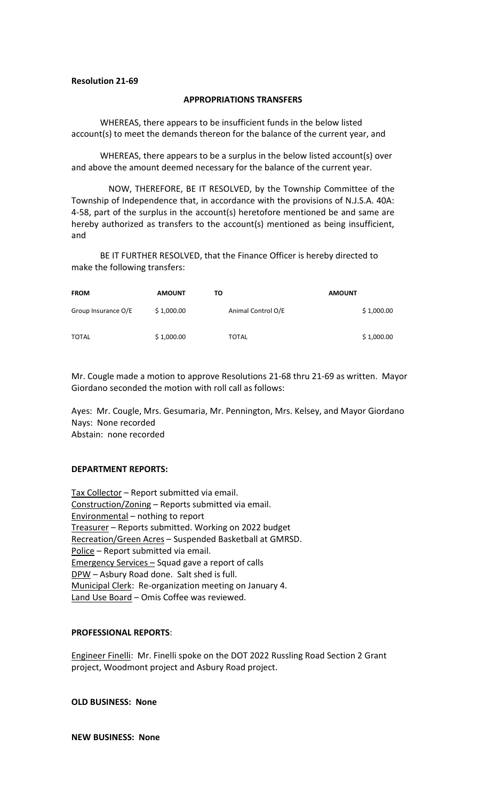## **Resolution 21-69**

#### **APPROPRIATIONS TRANSFERS**

WHEREAS, there appears to be insufficient funds in the below listed account(s) to meet the demands thereon for the balance of the current year, and

WHEREAS, there appears to be a surplus in the below listed account(s) over and above the amount deemed necessary for the balance of the current year.

NOW, THEREFORE, BE IT RESOLVED, by the Township Committee of the Township of Independence that, in accordance with the provisions of N.J.S.A. 40A: 4-58, part of the surplus in the account(s) heretofore mentioned be and same are hereby authorized as transfers to the account(s) mentioned as being insufficient, and

BE IT FURTHER RESOLVED, that the Finance Officer is hereby directed to make the following transfers:

| <b>FROM</b>         | <b>AMOUNT</b> | τо                 | <b>AMOUNT</b> |
|---------------------|---------------|--------------------|---------------|
| Group Insurance O/E | \$1,000.00    | Animal Control O/E | \$1,000.00    |
| <b>TOTAL</b>        | \$1,000.00    | <b>TOTAL</b>       | \$1,000.00    |

Mr. Cougle made a motion to approve Resolutions 21-68 thru 21-69 as written. Mayor Giordano seconded the motion with roll call as follows:

Ayes: Mr. Cougle, Mrs. Gesumaria, Mr. Pennington, Mrs. Kelsey, and Mayor Giordano Nays: None recorded Abstain: none recorded

#### **DEPARTMENT REPORTS:**

Tax Collector - Report submitted via email. Construction/Zoning – Reports submitted via email. Environmental – nothing to report Treasurer – Reports submitted. Working on 2022 budget Recreation/Green Acres – Suspended Basketball at GMRSD. Police – Report submitted via email. Emergency Services - Squad gave a report of calls DPW - Asbury Road done. Salt shed is full. Municipal Clerk: Re-organization meeting on January 4. Land Use Board - Omis Coffee was reviewed.

## **PROFESSIONAL REPORTS**:

Engineer Finelli: Mr. Finelli spoke on the DOT 2022 Russling Road Section 2 Grant project, Woodmont project and Asbury Road project.

**OLD BUSINESS: None**

**NEW BUSINESS: None**